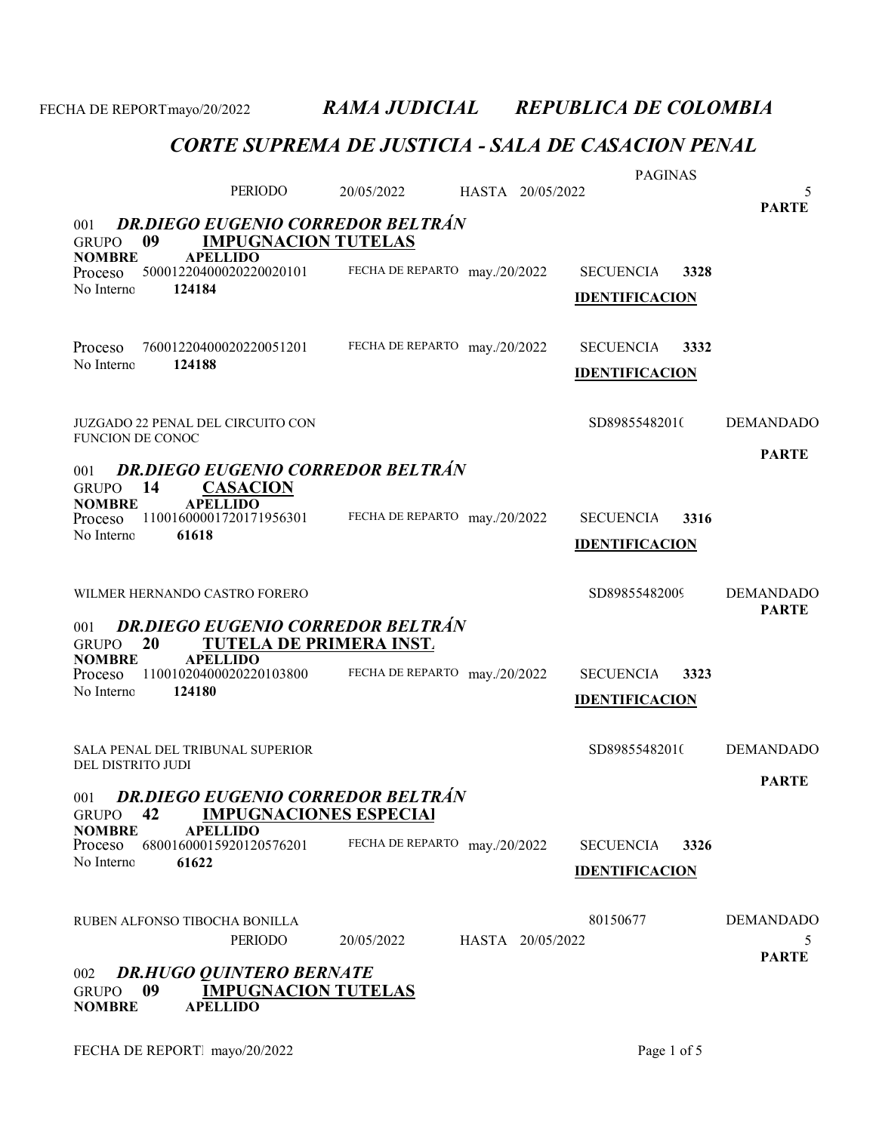|                               |        |                                                               |                               |                  | <b>PAGINAS</b>        |      |                   |
|-------------------------------|--------|---------------------------------------------------------------|-------------------------------|------------------|-----------------------|------|-------------------|
|                               |        | PERIODO                                                       | 20/05/2022                    | HASTA 20/05/2022 |                       |      | 5<br><b>PARTE</b> |
| 001                           |        | <b>DR.DIEGO EUGENIO CORREDOR BELTRÁN</b>                      |                               |                  |                       |      |                   |
| <b>GRUPO</b>                  | 09     | <b>IMPUGNACION TUTELAS</b><br><b>APELLIDO</b>                 |                               |                  |                       |      |                   |
| <b>NOMBRE</b><br>Proceso      |        | 50001220400020220020101                                       | FECHA DE REPARTO may./20/2022 |                  | <b>SECUENCIA</b>      | 3328 |                   |
| No Interno                    | 124184 |                                                               |                               |                  | <b>IDENTIFICACION</b> |      |                   |
|                               |        |                                                               |                               |                  |                       |      |                   |
| Proceso                       |        | 76001220400020220051201                                       | FECHA DE REPARTO may./20/2022 |                  | <b>SECUENCIA</b>      | 3332 |                   |
| No Interno                    | 124188 |                                                               |                               |                  | <b>IDENTIFICACION</b> |      |                   |
|                               |        |                                                               |                               |                  |                       |      |                   |
|                               |        | <b>JUZGADO 22 PENAL DEL CIRCUITO CON</b>                      |                               |                  | SD89855482010         |      | <b>DEMANDADO</b>  |
| <b>FUNCION DE CONOC</b>       |        |                                                               |                               |                  |                       |      | <b>PARTE</b>      |
| 001                           |        | <b>DR.DIEGO EUGENIO CORREDOR BELTRÁN</b>                      |                               |                  |                       |      |                   |
| <b>GRUPO</b><br><b>NOMBRE</b> | 14     | <b>CASACION</b><br><b>APELLIDO</b>                            |                               |                  |                       |      |                   |
| Proceso                       |        | 11001600001720171956301                                       | FECHA DE REPARTO may./20/2022 |                  | <b>SECUENCIA</b>      | 3316 |                   |
| No Interno                    | 61618  |                                                               |                               |                  | <b>IDENTIFICACION</b> |      |                   |
|                               |        |                                                               |                               |                  |                       |      |                   |
|                               |        | WILMER HERNANDO CASTRO FORERO                                 |                               |                  | SD89855482009         |      | <b>DEMANDADO</b>  |
| 001                           |        | <b>DR.DIEGO EUGENIO CORREDOR BELTRÁN</b>                      |                               |                  |                       |      | <b>PARTE</b>      |
| <b>GRUPO</b>                  | 20     | <b>TUTELA DE PRIMERA INST.</b>                                |                               |                  |                       |      |                   |
| <b>NOMBRE</b><br>Proceso      |        | <b>APELLIDO</b><br>11001020400020220103800                    | FECHA DE REPARTO may./20/2022 |                  | <b>SECUENCIA</b>      | 3323 |                   |
| No Interno                    | 124180 |                                                               |                               |                  | <b>IDENTIFICACION</b> |      |                   |
|                               |        |                                                               |                               |                  |                       |      |                   |
|                               |        | SALA PENAL DEL TRIBUNAL SUPERIOR                              |                               |                  | SD89855482010         |      | <b>DEMANDADO</b>  |
| DEL DISTRITO JUDI             |        |                                                               |                               |                  |                       |      |                   |
| 001                           |        | <b>DR.DIEGO EUGENIO CORREDOR BELTRÁN</b>                      |                               |                  |                       |      | <b>PARTE</b>      |
| <b>GRUPO</b>                  | 42     | <b>IMPUGNACIONES ESPECIAI</b>                                 |                               |                  |                       |      |                   |
| <b>NOMBRE</b><br>Proceso      |        | <b>APELLIDO</b><br>68001600015920120576201                    | FECHA DE REPARTO              | may./20/2022     | <b>SECUENCIA</b>      | 3326 |                   |
| No Interno                    | 61622  |                                                               |                               |                  | <b>IDENTIFICACION</b> |      |                   |
|                               |        |                                                               |                               |                  |                       |      |                   |
|                               |        | RUBEN ALFONSO TIBOCHA BONILLA                                 |                               |                  | 80150677              |      | <b>DEMANDADO</b>  |
|                               |        | <b>PERIODO</b>                                                | 20/05/2022                    | HASTA 20/05/2022 |                       |      | $\mathcal{L}$     |
|                               |        |                                                               |                               |                  |                       |      | <b>PARTE</b>      |
| 002<br><b>GRUPO</b>           | 09     | <b>DR.HUGO QUINTERO BERNATE</b><br><b>IMPUGNACION TUTELAS</b> |                               |                  |                       |      |                   |
| <b>NOMBRE</b>                 |        | <b>APELLIDO</b>                                               |                               |                  |                       |      |                   |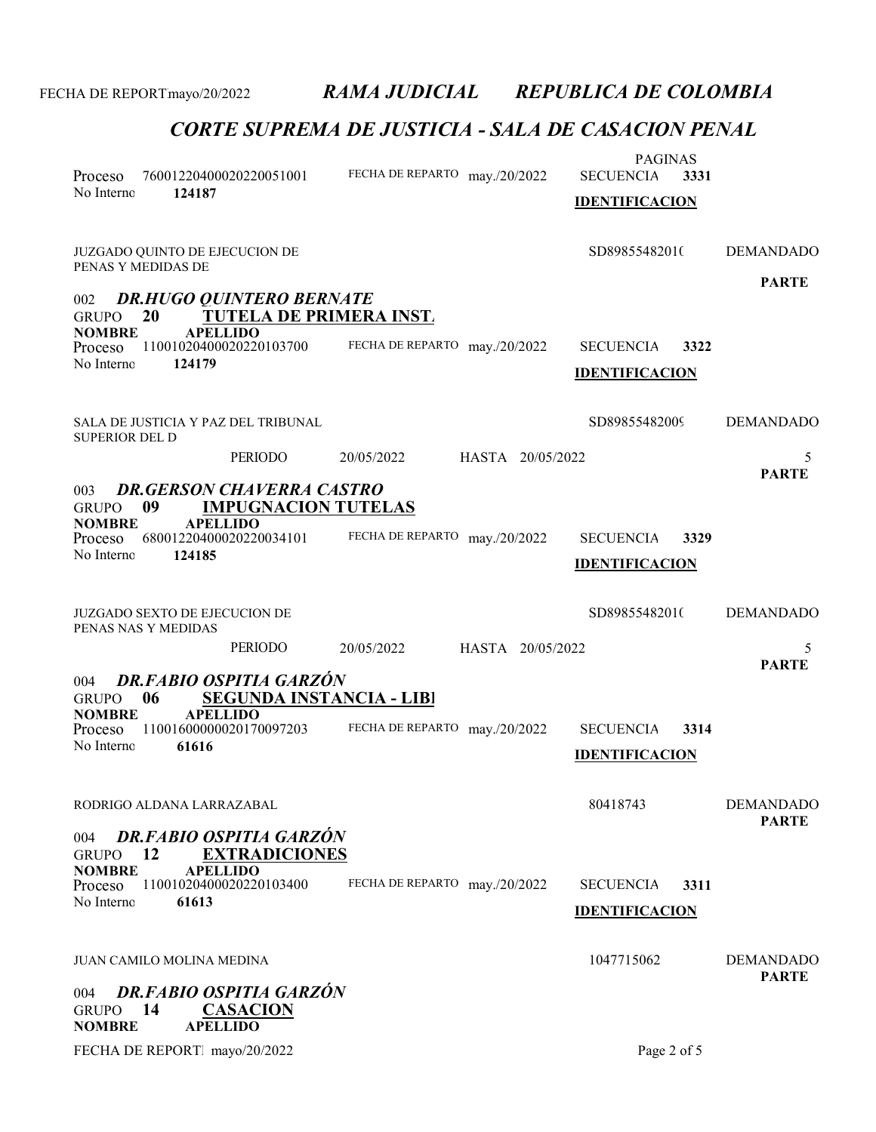| Proceso<br>No Interno<br>124187                                                                  | 76001220400020220051001                                                                   | FECHA DE REPARTO may./20/2022 |                  | <b>PAGINAS</b><br><b>SECUENCIA</b><br><b>IDENTIFICACION</b> | 3331 |                   |
|--------------------------------------------------------------------------------------------------|-------------------------------------------------------------------------------------------|-------------------------------|------------------|-------------------------------------------------------------|------|-------------------|
| JUZGADO QUINTO DE EJECUCION DE<br>PENAS Y MEDIDAS DE                                             |                                                                                           |                               |                  | SD89855482010                                               |      | <b>DEMANDADO</b>  |
| 002<br>20<br><b>GRUPO</b>                                                                        | <b>DR.HUGO QUINTERO BERNATE</b><br><b>TUTELA DE PRIMERA INST.</b>                         |                               |                  |                                                             |      | <b>PARTE</b>      |
| <b>NOMBRE</b><br><b>APELLIDO</b><br>Proceso<br>No Interno<br>124179                              | 11001020400020220103700                                                                   | FECHA DE REPARTO may./20/2022 |                  | <b>SECUENCIA</b><br><b>IDENTIFICACION</b>                   | 3322 |                   |
| SALA DE JUSTICIA Y PAZ DEL TRIBUNAL<br><b>SUPERIOR DEL D</b>                                     |                                                                                           |                               |                  | SD89855482009                                               |      | <b>DEMANDADO</b>  |
|                                                                                                  | <b>PERIODO</b>                                                                            | 20/05/2022                    | HASTA 20/05/2022 |                                                             |      | 5<br><b>PARTE</b> |
| 003<br>09<br><b>GRUPO</b><br><b>NOMBRE</b><br><b>APELLIDO</b><br>Proceso<br>No Interno<br>124185 | <b>DR.GERSON CHAVERRA CASTRO</b><br><b>IMPUGNACION TUTELAS</b><br>68001220400020220034101 | FECHA DE REPARTO may./20/2022 |                  | <b>SECUENCIA</b><br><b>IDENTIFICACION</b>                   | 3329 |                   |
| <b>JUZGADO SEXTO DE EJECUCION DE</b><br>PENAS NAS Y MEDIDAS                                      |                                                                                           |                               |                  | SD89855482010                                               |      | <b>DEMANDADO</b>  |
|                                                                                                  | PERIODO                                                                                   | 20/05/2022                    | HASTA 20/05/2022 |                                                             |      | 5<br><b>PARTE</b> |
| 004<br>06<br><b>GRUPO</b>                                                                        | DR.FABIO OSPITIA GARZÓN<br><b>SEGUNDA INSTANCIA - LIBI</b>                                |                               |                  |                                                             |      |                   |
| <b>APELLIDO</b><br><b>NOMBRE</b><br>Proceso<br>No Interno<br>61616                               | 11001600000020170097203                                                                   | FECHA DE REPARTO may./20/2022 |                  | <b>SECUENCIA</b><br><b>IDENTIFICACION</b>                   | 3314 |                   |
| RODRIGO ALDANA LARRAZABAL                                                                        |                                                                                           |                               |                  | 80418743                                                    |      | <b>DEMANDADO</b>  |
| 004<br>12<br><b>GRUPO</b><br><b>NOMBRE</b><br><b>APELLIDO</b><br>Proceso<br>61613<br>No Interno  | <b>DR.FABIO OSPITIA GARZÓN</b><br><b>EXTRADICIONES</b><br>11001020400020220103400         | FECHA DE REPARTO may./20/2022 |                  | <b>SECUENCIA</b><br><b>IDENTIFICACION</b>                   | 3311 | <b>PARTE</b>      |
| JUAN CAMILO MOLINA MEDINA                                                                        |                                                                                           |                               |                  | 1047715062                                                  |      | <b>DEMANDADO</b>  |
| 004<br>14<br><b>GRUPO</b><br><b>APELLIDO</b><br><b>NOMBRE</b>                                    | <b>DR.FABIO OSPITIA GARZÓN</b><br><b>CASACION</b>                                         |                               |                  |                                                             |      | <b>PARTE</b>      |
| FECHA DE REPORT mayo/20/2022                                                                     |                                                                                           |                               |                  | Page 2 of 5                                                 |      |                   |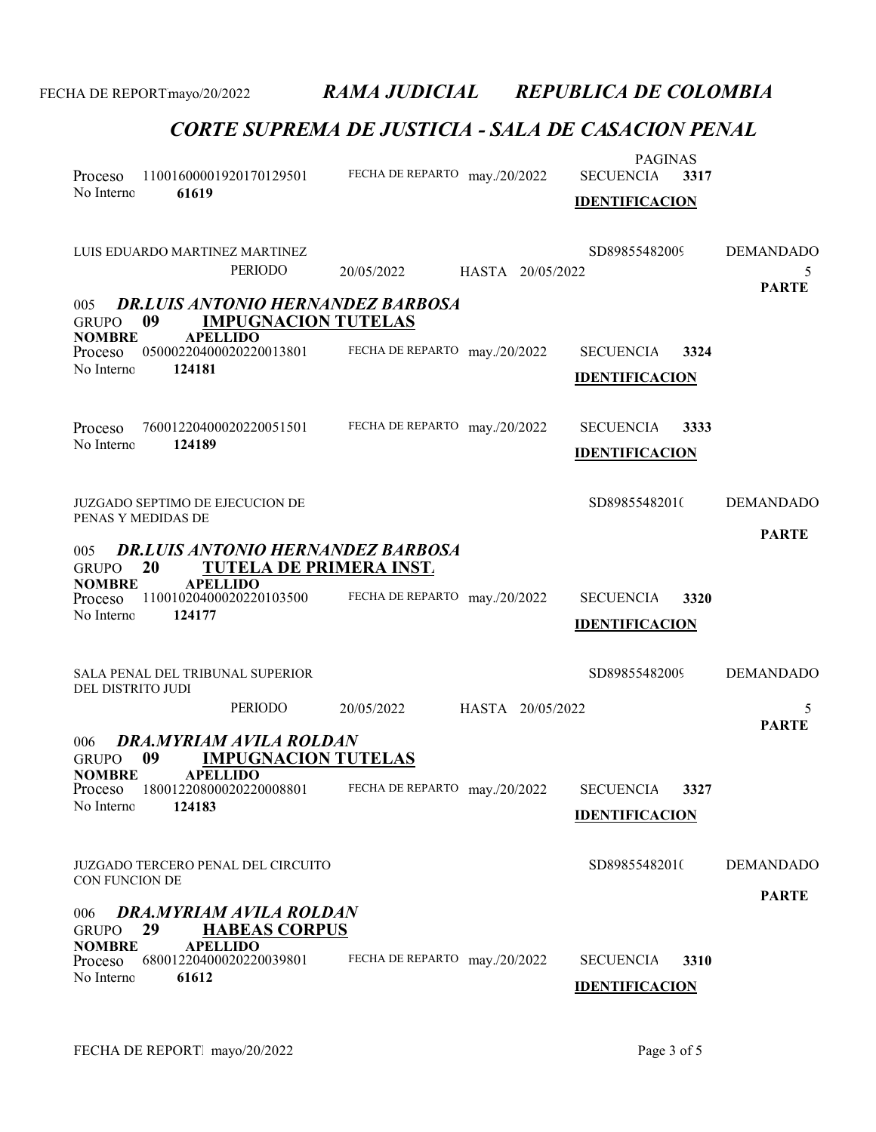| 11001600001920170129501<br>Proceso<br>61619<br>No Interno                                                                                                                                                       | FECHA DE REPARTO may./20/2022  | <b>PAGINAS</b><br><b>SECUENCIA</b><br>3317<br><b>IDENTIFICACION</b> |                                       |
|-----------------------------------------------------------------------------------------------------------------------------------------------------------------------------------------------------------------|--------------------------------|---------------------------------------------------------------------|---------------------------------------|
| LUIS EDUARDO MARTINEZ MARTINEZ<br><b>PERIODO</b>                                                                                                                                                                | 20/05/2022<br>HASTA 20/05/2022 | SD89855482009                                                       | <b>DEMANDADO</b><br>5<br><b>PARTE</b> |
| <b>DR.LUIS ANTONIO HERNANDEZ BARBOSA</b><br>005<br>09<br><b>IMPUGNACION TUTELAS</b><br><b>GRUPO</b>                                                                                                             |                                |                                                                     |                                       |
| <b>NOMBRE</b><br><b>APELLIDO</b><br>05000220400020220013801<br>Proceso<br>No Interno<br>124181                                                                                                                  | FECHA DE REPARTO may./20/2022  | <b>SECUENCIA</b><br>3324<br><b>IDENTIFICACION</b>                   |                                       |
| 76001220400020220051501<br>Proceso<br>124189<br>No Interno                                                                                                                                                      | FECHA DE REPARTO may./20/2022  | <b>SECUENCIA</b><br>3333<br><b>IDENTIFICACION</b>                   |                                       |
| <b>JUZGADO SEPTIMO DE EJECUCION DE</b><br>PENAS Y MEDIDAS DE                                                                                                                                                    |                                | SD89855482010                                                       | <b>DEMANDADO</b>                      |
| <b>DR.LUIS ANTONIO HERNANDEZ BARBOSA</b><br>005<br>20<br><b>TUTELA DE PRIMERA INST.</b><br><b>GRUPO</b><br><b>APELLIDO</b><br><b>NOMBRE</b><br>11001020400020220103500<br>Proceso<br>No Interno<br>124177       | FECHA DE REPARTO may./20/2022  | <b>SECUENCIA</b><br>3320<br><b>IDENTIFICACION</b>                   | <b>PARTE</b>                          |
| SALA PENAL DEL TRIBUNAL SUPERIOR<br>DEL DISTRITO JUDI                                                                                                                                                           |                                | SD89855482009                                                       | <b>DEMANDADO</b>                      |
| PERIODO                                                                                                                                                                                                         | 20/05/2022<br>HASTA 20/05/2022 |                                                                     | 5<br><b>PARTE</b>                     |
| DRA.MYRIAM AVILA ROLDAN<br>006<br>09<br><b>IMPUGNACION TUTELAS</b><br><b>GRUPO</b><br><b>NOMBRE</b><br><b>APELLIDO</b><br>Proceso 18001220800020220008801 FECHA DE REPARTO may./20/2022<br>No Interno<br>124183 |                                | <b>SECUENCIA</b><br>3327<br><b>IDENTIFICACION</b>                   |                                       |
| <b>JUZGADO TERCERO PENAL DEL CIRCUITO</b><br>CON FUNCION DE                                                                                                                                                     |                                | SD89855482010                                                       | <b>DEMANDADO</b>                      |
| <b>DRA.MYRIAM AVILA ROLDAN</b><br>006<br>29<br><b>GRUPO</b><br><b>HABEAS CORPUS</b><br><b>NOMBRE</b><br><b>APELLIDO</b><br>68001220400020220039801<br>Proceso<br>No Interno<br>61612                            | FECHA DE REPARTO may./20/2022  | 3310<br><b>SECUENCIA</b><br><b>IDENTIFICACION</b>                   | <b>PARTE</b>                          |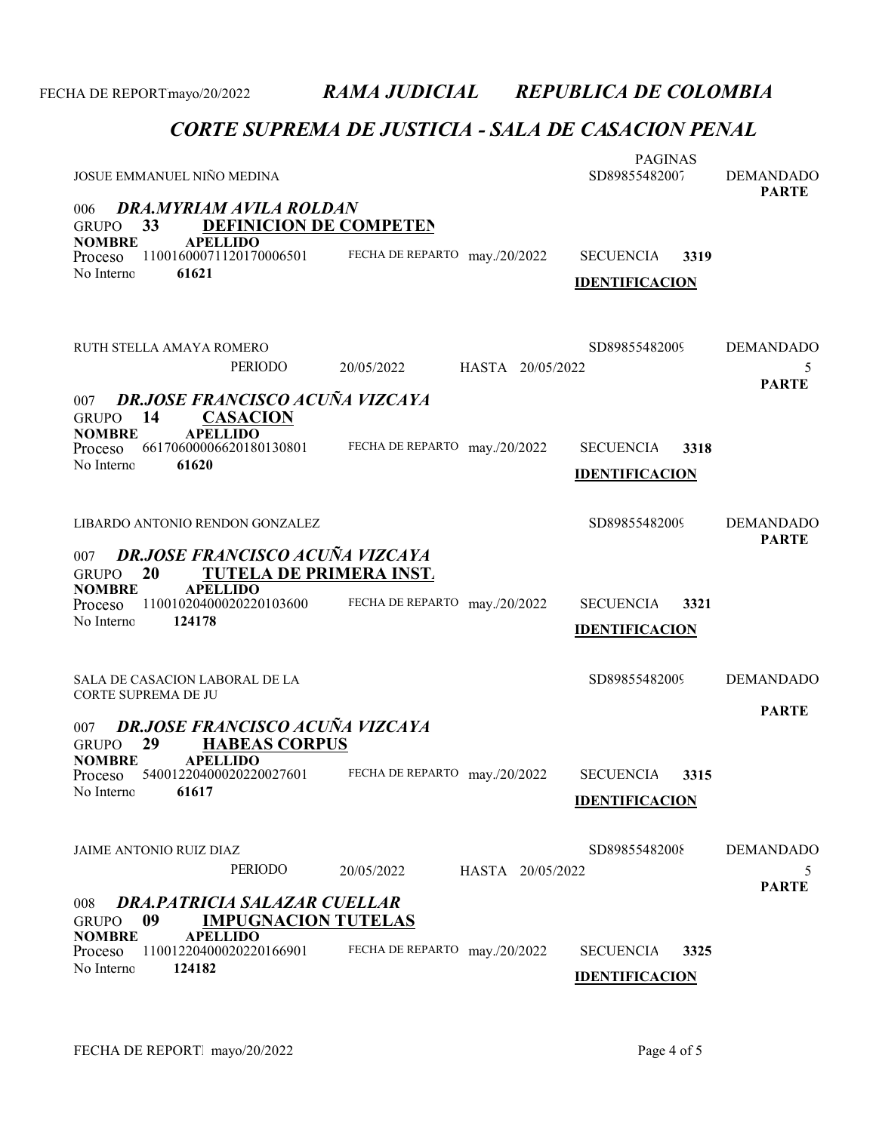| JOSUE EMMANUEL NIÑO MEDINA                                                                            |                                | <b>PAGINAS</b><br>SD89855482007 | <b>DEMANDADO</b><br><b>PARTE</b> |  |  |  |  |  |
|-------------------------------------------------------------------------------------------------------|--------------------------------|---------------------------------|----------------------------------|--|--|--|--|--|
| DRA.MYRIAM AVILA ROLDAN<br>006<br>33<br><b>DEFINICION DE COMPETEN</b><br><b>GRUPO</b>                 |                                |                                 |                                  |  |  |  |  |  |
| <b>APELLIDO</b><br><b>NOMBRE</b><br>11001600071120170006501<br>Proceso                                | FECHA DE REPARTO may./20/2022  | <b>SECUENCIA</b><br>3319        |                                  |  |  |  |  |  |
| 61621<br>No Interno                                                                                   |                                | <b>IDENTIFICACION</b>           |                                  |  |  |  |  |  |
|                                                                                                       |                                |                                 |                                  |  |  |  |  |  |
| RUTH STELLA AMAYA ROMERO<br>PERIODO                                                                   | 20/05/2022<br>HASTA 20/05/2022 | SD89855482009                   | <b>DEMANDADO</b><br>5            |  |  |  |  |  |
|                                                                                                       |                                |                                 | <b>PARTE</b>                     |  |  |  |  |  |
| <b>DR.JOSE FRANCISCO ACUÑA VIZCAYA</b><br>007<br>14<br><b>CASACION</b><br><b>GRUPO</b>                |                                |                                 |                                  |  |  |  |  |  |
| <b>APELLIDO</b><br><b>NOMBRE</b><br>66170600006620180130801<br>Proceso                                | FECHA DE REPARTO may./20/2022  | 3318<br><b>SECUENCIA</b>        |                                  |  |  |  |  |  |
| 61620<br>No Interno                                                                                   |                                | <b>IDENTIFICACION</b>           |                                  |  |  |  |  |  |
|                                                                                                       |                                |                                 |                                  |  |  |  |  |  |
| LIBARDO ANTONIO RENDON GONZALEZ                                                                       |                                | SD89855482009                   | <b>DEMANDADO</b><br><b>PARTE</b> |  |  |  |  |  |
| <b>DR.JOSE FRANCISCO ACUÑA VIZCAYA</b><br>007<br><b>TUTELA DE PRIMERA INST.</b><br>20<br><b>GRUPO</b> |                                |                                 |                                  |  |  |  |  |  |
| <b>APELLIDO</b><br><b>NOMBRE</b><br>11001020400020220103600<br>Proceso                                | FECHA DE REPARTO may./20/2022  | <b>SECUENCIA</b><br>3321        |                                  |  |  |  |  |  |
| No Interno<br>124178                                                                                  |                                | <b>IDENTIFICACION</b>           |                                  |  |  |  |  |  |
|                                                                                                       |                                |                                 |                                  |  |  |  |  |  |
| SALA DE CASACION LABORAL DE LA                                                                        |                                | SD89855482009                   | <b>DEMANDADO</b>                 |  |  |  |  |  |
| CORTE SUPREMA DE JU                                                                                   |                                |                                 | <b>PARTE</b>                     |  |  |  |  |  |
| DR.JOSE FRANCISCO ACUÑA VIZCAYA<br>007<br><b>HABEAS CORPUS</b><br>29<br><b>GRUPO</b>                  |                                |                                 |                                  |  |  |  |  |  |
| <b>NOMBRE</b><br><b>APELLIDO</b><br>54001220400020220027601<br>Proceso                                | FECHA DE REPARTO may./20/2022  | <b>SECUENCIA</b><br>3315        |                                  |  |  |  |  |  |
| No Interno<br>61617                                                                                   |                                | <b>IDENTIFICACION</b>           |                                  |  |  |  |  |  |
|                                                                                                       |                                |                                 |                                  |  |  |  |  |  |
| JAIME ANTONIO RUIZ DIAZ                                                                               |                                | SD89855482008                   | <b>DEMANDADO</b>                 |  |  |  |  |  |
| PERIODO                                                                                               | HASTA 20/05/2022<br>20/05/2022 |                                 | 5<br><b>PARTE</b>                |  |  |  |  |  |
| <b>DRA.PATRICIA SALAZAR CUELLAR</b><br>008<br>09<br><b>IMPUGNACION TUTELAS</b><br><b>GRUPO</b>        |                                |                                 |                                  |  |  |  |  |  |
| <b>APELLIDO</b><br><b>NOMBRE</b><br>11001220400020220166901<br>Proceso                                | FECHA DE REPARTO may./20/2022  | <b>SECUENCIA</b><br>3325        |                                  |  |  |  |  |  |
| 124182<br>No Interno                                                                                  |                                | <b>IDENTIFICACION</b>           |                                  |  |  |  |  |  |
|                                                                                                       |                                |                                 |                                  |  |  |  |  |  |